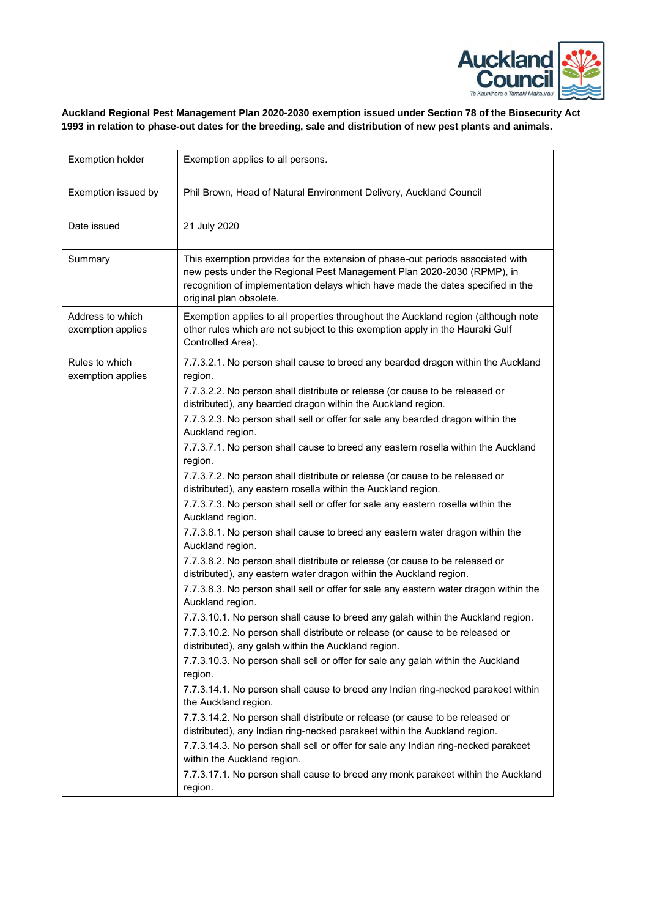

## **Auckland Regional Pest Management Plan 2020-2030 exemption issued under Section 78 of the Biosecurity Act 1993 in relation to phase-out dates for the breeding, sale and distribution of new pest plants and animals.**

| <b>Exemption holder</b>               | Exemption applies to all persons.                                                                                                                                                                                                                                      |  |
|---------------------------------------|------------------------------------------------------------------------------------------------------------------------------------------------------------------------------------------------------------------------------------------------------------------------|--|
| Exemption issued by                   | Phil Brown, Head of Natural Environment Delivery, Auckland Council                                                                                                                                                                                                     |  |
| Date issued                           | 21 July 2020                                                                                                                                                                                                                                                           |  |
| Summary                               | This exemption provides for the extension of phase-out periods associated with<br>new pests under the Regional Pest Management Plan 2020-2030 (RPMP), in<br>recognition of implementation delays which have made the dates specified in the<br>original plan obsolete. |  |
| Address to which<br>exemption applies | Exemption applies to all properties throughout the Auckland region (although note<br>other rules which are not subject to this exemption apply in the Hauraki Gulf<br>Controlled Area).                                                                                |  |
| Rules to which<br>exemption applies   | 7.7.3.2.1. No person shall cause to breed any bearded dragon within the Auckland<br>region.                                                                                                                                                                            |  |
|                                       | 7.7.3.2.2. No person shall distribute or release (or cause to be released or<br>distributed), any bearded dragon within the Auckland region.                                                                                                                           |  |
|                                       | 7.7.3.2.3. No person shall sell or offer for sale any bearded dragon within the<br>Auckland region.                                                                                                                                                                    |  |
|                                       | 7.7.3.7.1. No person shall cause to breed any eastern rosella within the Auckland<br>region.                                                                                                                                                                           |  |
|                                       | 7.7.3.7.2. No person shall distribute or release (or cause to be released or<br>distributed), any eastern rosella within the Auckland region.                                                                                                                          |  |
|                                       | 7.7.3.7.3. No person shall sell or offer for sale any eastern rosella within the<br>Auckland region.                                                                                                                                                                   |  |
|                                       | 7.7.3.8.1. No person shall cause to breed any eastern water dragon within the<br>Auckland region.                                                                                                                                                                      |  |
|                                       | 7.7.3.8.2. No person shall distribute or release (or cause to be released or<br>distributed), any eastern water dragon within the Auckland region.                                                                                                                     |  |
|                                       | 7.7.3.8.3. No person shall sell or offer for sale any eastern water dragon within the<br>Auckland region.                                                                                                                                                              |  |
|                                       | 7.7.3.10.1. No person shall cause to breed any galah within the Auckland region.                                                                                                                                                                                       |  |
|                                       | 7.7.3.10.2. No person shall distribute or release (or cause to be released or<br>distributed), any galah within the Auckland region.                                                                                                                                   |  |
|                                       | 7.7.3.10.3. No person shall sell or offer for sale any galah within the Auckland<br>region.                                                                                                                                                                            |  |
|                                       | 7.7.3.14.1. No person shall cause to breed any Indian ring-necked parakeet within<br>the Auckland region.                                                                                                                                                              |  |
|                                       | 7.7.3.14.2. No person shall distribute or release (or cause to be released or<br>distributed), any Indian ring-necked parakeet within the Auckland region.                                                                                                             |  |
|                                       | 7.7.3.14.3. No person shall sell or offer for sale any Indian ring-necked parakeet<br>within the Auckland region.                                                                                                                                                      |  |
|                                       | 7.7.3.17.1. No person shall cause to breed any monk parakeet within the Auckland<br>region.                                                                                                                                                                            |  |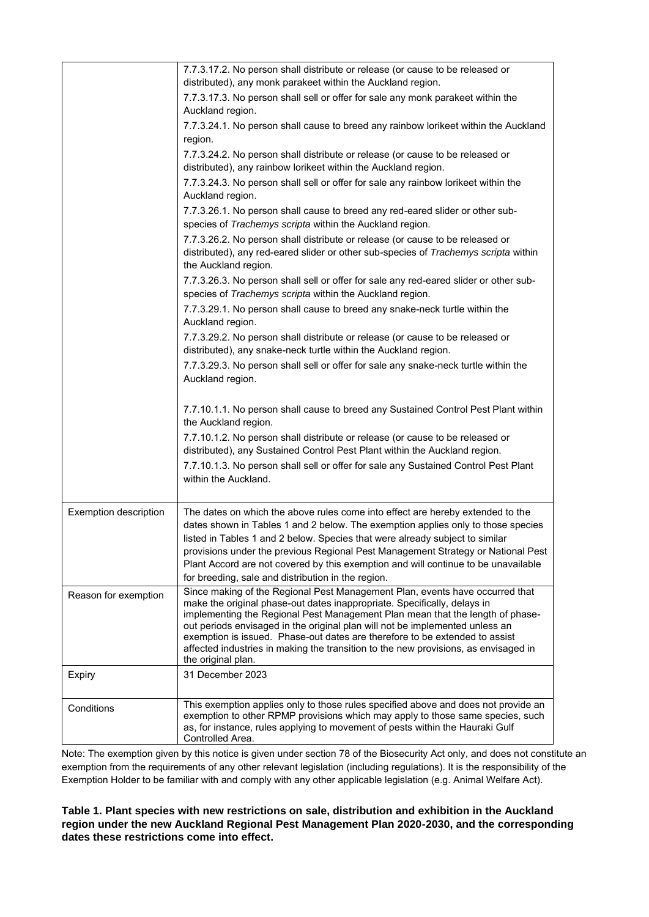| 7.7.3.17.2. No person shall distribute or release (or cause to be released or<br>distributed), any monk parakeet within the Auckland region.                                                                                                                                                                                                                                                                    |
|-----------------------------------------------------------------------------------------------------------------------------------------------------------------------------------------------------------------------------------------------------------------------------------------------------------------------------------------------------------------------------------------------------------------|
| 7.7.3.17.3. No person shall sell or offer for sale any monk parakeet within the<br>Auckland region.                                                                                                                                                                                                                                                                                                             |
| 7.7.3.24.1. No person shall cause to breed any rainbow lorikeet within the Auckland                                                                                                                                                                                                                                                                                                                             |
| region.                                                                                                                                                                                                                                                                                                                                                                                                         |
| 7.7.3.24.2. No person shall distribute or release (or cause to be released or<br>distributed), any rainbow lorikeet within the Auckland region.                                                                                                                                                                                                                                                                 |
| 7.7.3.24.3. No person shall sell or offer for sale any rainbow lorikeet within the<br>Auckland region.                                                                                                                                                                                                                                                                                                          |
| 7.7.3.26.1. No person shall cause to breed any red-eared slider or other sub-<br>species of Trachemys scripta within the Auckland region.                                                                                                                                                                                                                                                                       |
| 7.7.3.26.2. No person shall distribute or release (or cause to be released or<br>distributed), any red-eared slider or other sub-species of Trachemys scripta within<br>the Auckland region.                                                                                                                                                                                                                    |
| 7.7.3.26.3. No person shall sell or offer for sale any red-eared slider or other sub-<br>species of Trachemys scripta within the Auckland region.                                                                                                                                                                                                                                                               |
| 7.7.3.29.1. No person shall cause to breed any snake-neck turtle within the<br>Auckland region.                                                                                                                                                                                                                                                                                                                 |
| 7.7.3.29.2. No person shall distribute or release (or cause to be released or<br>distributed), any snake-neck turtle within the Auckland region.                                                                                                                                                                                                                                                                |
|                                                                                                                                                                                                                                                                                                                                                                                                                 |
| 7.7.3.29.3. No person shall sell or offer for sale any snake-neck turtle within the<br>Auckland region.                                                                                                                                                                                                                                                                                                         |
| 7.7.10.1.1. No person shall cause to breed any Sustained Control Pest Plant within<br>the Auckland region.                                                                                                                                                                                                                                                                                                      |
| 7.7.10.1.2. No person shall distribute or release (or cause to be released or<br>distributed), any Sustained Control Pest Plant within the Auckland region.                                                                                                                                                                                                                                                     |
| 7.7.10.1.3. No person shall sell or offer for sale any Sustained Control Pest Plant<br>within the Auckland.                                                                                                                                                                                                                                                                                                     |
| The dates on which the above rules come into effect are hereby extended to the                                                                                                                                                                                                                                                                                                                                  |
| dates shown in Tables 1 and 2 below. The exemption applies only to those species<br>listed in Tables 1 and 2 below. Species that were already subject to similar<br>provisions under the previous Regional Pest Management Strategy or National Pest<br>Plant Accord are not covered by this exemption and will continue to be unavailable<br>for breeding, sale and distribution in the region.                |
| Since making of the Regional Pest Management Plan, events have occurred that                                                                                                                                                                                                                                                                                                                                    |
| make the original phase-out dates inappropriate. Specifically, delays in<br>implementing the Regional Pest Management Plan mean that the length of phase-<br>out periods envisaged in the original plan will not be implemented unless an<br>exemption is issued. Phase-out dates are therefore to be extended to assist<br>affected industries in making the transition to the new provisions, as envisaged in |
| the original plan.                                                                                                                                                                                                                                                                                                                                                                                              |
| 31 December 2023                                                                                                                                                                                                                                                                                                                                                                                                |
| This exemption applies only to those rules specified above and does not provide an<br>exemption to other RPMP provisions which may apply to those same species, such<br>as, for instance, rules applying to movement of pests within the Hauraki Gulf<br>Controlled Area.                                                                                                                                       |
|                                                                                                                                                                                                                                                                                                                                                                                                                 |

Note: The exemption given by this notice is given under section 78 of the Biosecurity Act only, and does not constitute an exemption from the requirements of any other relevant legislation (including regulations). It is the responsibility of the Exemption Holder to be familiar with and comply with any other applicable legislation (e.g. Animal Welfare Act).

**Table 1. Plant species with new restrictions on sale, distribution and exhibition in the Auckland region under the new Auckland Regional Pest Management Plan 2020-2030, and the corresponding dates these restrictions come into effect.**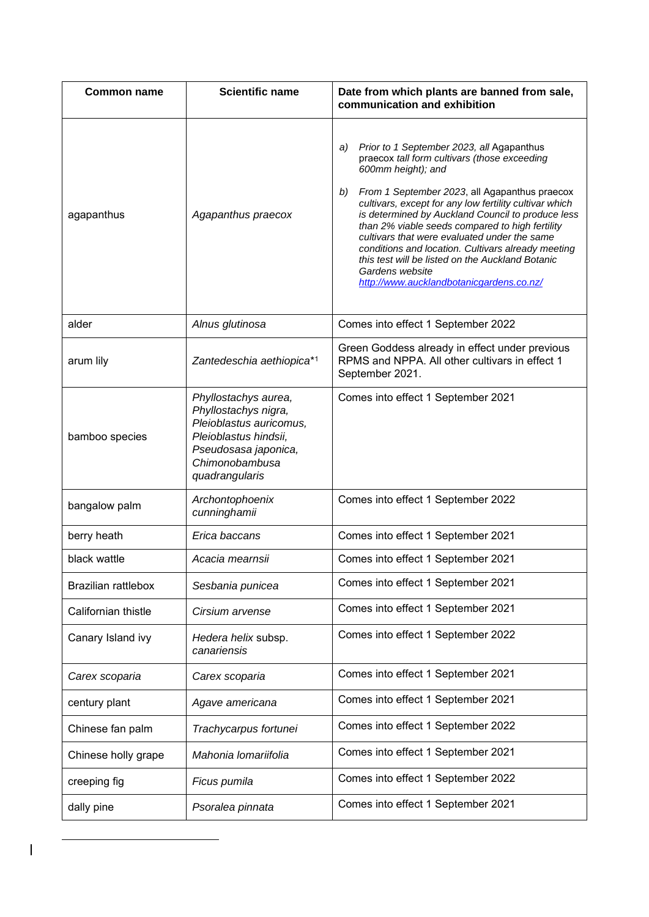| <b>Common name</b>         | <b>Scientific name</b>                                                                                                                                       | Date from which plants are banned from sale,<br>communication and exhibition                                                                                                                                                                                                                                                                                                                                                                                                                                                                                            |  |
|----------------------------|--------------------------------------------------------------------------------------------------------------------------------------------------------------|-------------------------------------------------------------------------------------------------------------------------------------------------------------------------------------------------------------------------------------------------------------------------------------------------------------------------------------------------------------------------------------------------------------------------------------------------------------------------------------------------------------------------------------------------------------------------|--|
| agapanthus                 | Agapanthus praecox                                                                                                                                           | Prior to 1 September 2023, all Agapanthus<br>a)<br>praecox tall form cultivars (those exceeding<br>600mm height); and<br>b)<br>From 1 September 2023, all Agapanthus praecox<br>cultivars, except for any low fertility cultivar which<br>is determined by Auckland Council to produce less<br>than 2% viable seeds compared to high fertility<br>cultivars that were evaluated under the same<br>conditions and location. Cultivars already meeting<br>this test will be listed on the Auckland Botanic<br>Gardens website<br>http://www.aucklandbotanicgardens.co.nz/ |  |
| alder                      | Alnus glutinosa                                                                                                                                              | Comes into effect 1 September 2022                                                                                                                                                                                                                                                                                                                                                                                                                                                                                                                                      |  |
| arum lily                  | Zantedeschia aethiopica*1                                                                                                                                    | Green Goddess already in effect under previous<br>RPMS and NPPA. All other cultivars in effect 1<br>September 2021.                                                                                                                                                                                                                                                                                                                                                                                                                                                     |  |
| bamboo species             | Phyllostachys aurea,<br>Phyllostachys nigra,<br>Pleioblastus auricomus,<br>Pleioblastus hindsii,<br>Pseudosasa japonica,<br>Chimonobambusa<br>quadrangularis | Comes into effect 1 September 2021                                                                                                                                                                                                                                                                                                                                                                                                                                                                                                                                      |  |
| bangalow palm              | Archontophoenix<br>cunninghamii                                                                                                                              | Comes into effect 1 September 2022                                                                                                                                                                                                                                                                                                                                                                                                                                                                                                                                      |  |
| berry heath                | Erica baccans                                                                                                                                                | Comes into effect 1 September 2021                                                                                                                                                                                                                                                                                                                                                                                                                                                                                                                                      |  |
| black wattle               | Acacia mearnsii                                                                                                                                              | Comes into effect 1 September 2021                                                                                                                                                                                                                                                                                                                                                                                                                                                                                                                                      |  |
| <b>Brazilian rattlebox</b> | Sesbania punicea                                                                                                                                             | Comes into effect 1 September 2021                                                                                                                                                                                                                                                                                                                                                                                                                                                                                                                                      |  |
| Californian thistle        | Cirsium arvense                                                                                                                                              | Comes into effect 1 September 2021                                                                                                                                                                                                                                                                                                                                                                                                                                                                                                                                      |  |
| Canary Island ivy          | Hedera helix subsp.<br>canariensis                                                                                                                           | Comes into effect 1 September 2022                                                                                                                                                                                                                                                                                                                                                                                                                                                                                                                                      |  |
| Carex scoparia             | Carex scoparia                                                                                                                                               | Comes into effect 1 September 2021                                                                                                                                                                                                                                                                                                                                                                                                                                                                                                                                      |  |
| century plant              | Agave americana                                                                                                                                              | Comes into effect 1 September 2021                                                                                                                                                                                                                                                                                                                                                                                                                                                                                                                                      |  |
| Chinese fan palm           | Trachycarpus fortunei                                                                                                                                        | Comes into effect 1 September 2022                                                                                                                                                                                                                                                                                                                                                                                                                                                                                                                                      |  |
| Chinese holly grape        | Mahonia Iomariifolia                                                                                                                                         | Comes into effect 1 September 2021                                                                                                                                                                                                                                                                                                                                                                                                                                                                                                                                      |  |
| creeping fig               | Ficus pumila                                                                                                                                                 | Comes into effect 1 September 2022                                                                                                                                                                                                                                                                                                                                                                                                                                                                                                                                      |  |
| dally pine                 | Psoralea pinnata                                                                                                                                             | Comes into effect 1 September 2021                                                                                                                                                                                                                                                                                                                                                                                                                                                                                                                                      |  |

 $\begin{array}{c} \hline \end{array}$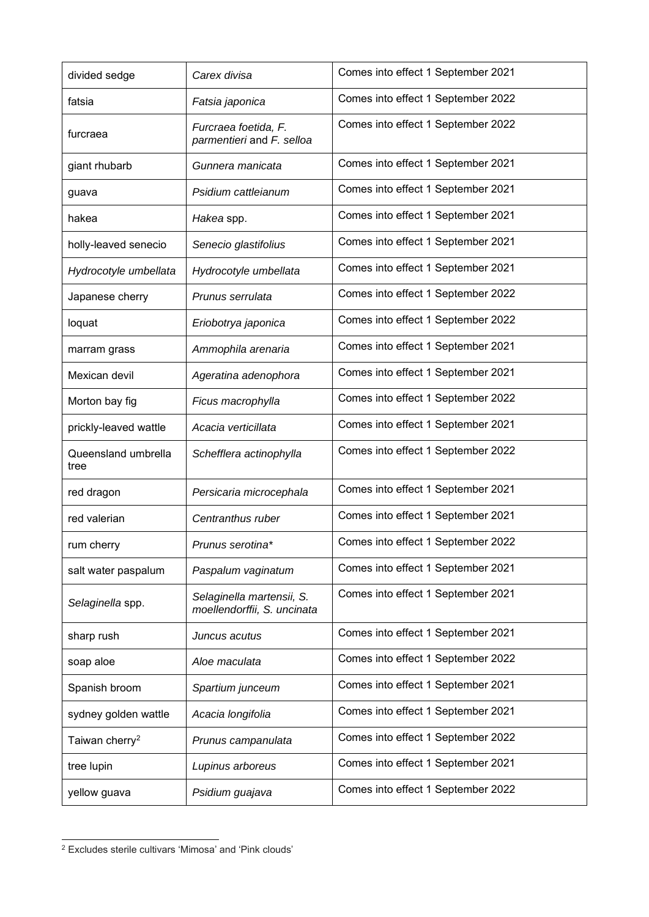| divided sedge               | Carex divisa                                             | Comes into effect 1 September 2021 |  |
|-----------------------------|----------------------------------------------------------|------------------------------------|--|
| fatsia                      | Fatsia japonica                                          | Comes into effect 1 September 2022 |  |
| furcraea                    | Furcraea foetida, F.<br>parmentieri and F. selloa        | Comes into effect 1 September 2022 |  |
| giant rhubarb               | Gunnera manicata                                         | Comes into effect 1 September 2021 |  |
| guava                       | Psidium cattleianum                                      | Comes into effect 1 September 2021 |  |
| hakea                       | Hakea spp.                                               | Comes into effect 1 September 2021 |  |
| holly-leaved senecio        | Senecio glastifolius                                     | Comes into effect 1 September 2021 |  |
| Hydrocotyle umbellata       | Hydrocotyle umbellata                                    | Comes into effect 1 September 2021 |  |
| Japanese cherry             | Prunus serrulata                                         | Comes into effect 1 September 2022 |  |
| loquat                      | Eriobotrya japonica                                      | Comes into effect 1 September 2022 |  |
| marram grass                | Ammophila arenaria                                       | Comes into effect 1 September 2021 |  |
| Mexican devil               | Ageratina adenophora                                     | Comes into effect 1 September 2021 |  |
| Morton bay fig              | Ficus macrophylla                                        | Comes into effect 1 September 2022 |  |
| prickly-leaved wattle       | Acacia verticillata                                      | Comes into effect 1 September 2021 |  |
| Queensland umbrella<br>tree | Schefflera actinophylla                                  | Comes into effect 1 September 2022 |  |
| red dragon                  | Persicaria microcephala                                  | Comes into effect 1 September 2021 |  |
| red valerian                | Centranthus ruber                                        | Comes into effect 1 September 2021 |  |
| rum cherry                  | Prunus serotina*                                         | Comes into effect 1 September 2022 |  |
| salt water paspalum         | Paspalum vaginatum                                       | Comes into effect 1 September 2021 |  |
| Selaginella spp.            | Selaginella martensii, S.<br>moellendorffii, S. uncinata | Comes into effect 1 September 2021 |  |
| sharp rush                  | Juncus acutus                                            | Comes into effect 1 September 2021 |  |
| soap aloe                   | Aloe maculata                                            | Comes into effect 1 September 2022 |  |
| Spanish broom               | Spartium junceum                                         | Comes into effect 1 September 2021 |  |
| sydney golden wattle        | Acacia longifolia                                        | Comes into effect 1 September 2021 |  |
| Taiwan cherry <sup>2</sup>  | Prunus campanulata                                       | Comes into effect 1 September 2022 |  |
| tree lupin                  | Lupinus arboreus                                         | Comes into effect 1 September 2021 |  |
| yellow guava                | Psidium guajava                                          | Comes into effect 1 September 2022 |  |

<sup>2</sup> Excludes sterile cultivars 'Mimosa' and 'Pink clouds'